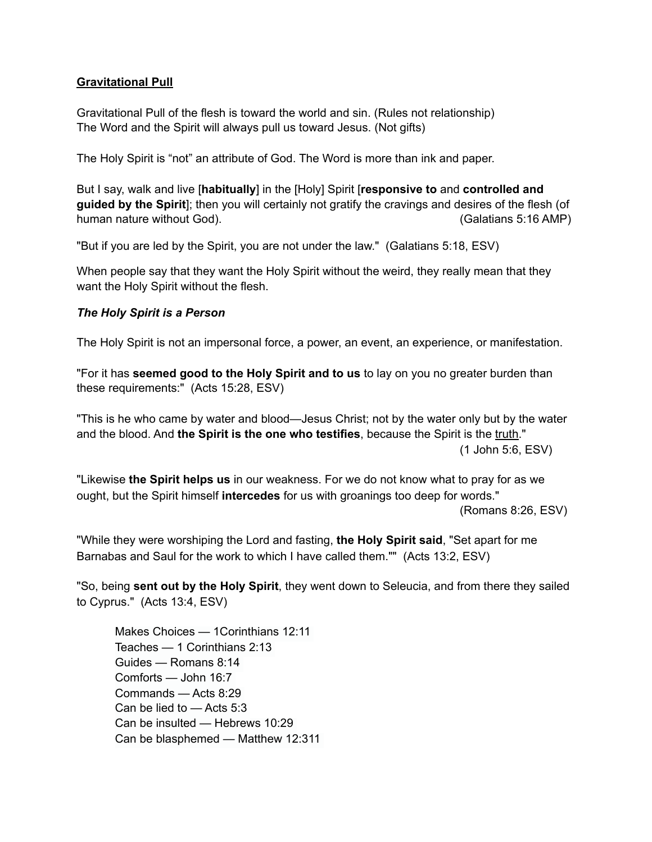### **Gravitational Pull**

Gravitational Pull of the flesh is toward the world and sin. (Rules not relationship) The Word and the Spirit will always pull us toward Jesus. (Not gifts)

The Holy Spirit is "not" an attribute of God. The Word is more than ink and paper.

But I say, walk and live [**habitually**] in the [Holy] Spirit [**responsive to** and **controlled and guided by the Spirit**]; then you will certainly not gratify the cravings and desires of the flesh (of human nature without God). The same state of the set of the set of the set of the set of the set of the set of the set of the set of the set of the set of the set of the set of the set of the set of the set of the set of t

"But if you are led by the Spirit, you are not under the law." (Galatians 5:18, ESV)

When people say that they want the Holy Spirit without the weird, they really mean that they want the Holy Spirit without the flesh.

#### *The Holy Spirit is a Person*

The Holy Spirit is not an impersonal force, a power, an event, an experience, or manifestation.

"For it has **seemed good to the Holy Spirit and to us** to lay on you no greater burden than these requirements:" (Acts 15:28, ESV)

"This is he who came by water and blood—Jesus Christ; not by the water only but by the water and the blood. And **the Spirit is the one who testifies**, because the Spirit is the truth." (1 John 5:6, ESV)

"Likewise **the Spirit helps us** in our weakness. For we do not know what to pray for as we ought, but the Spirit himself **intercedes** for us with groanings too deep for words."

(Romans 8:26, ESV)

"While they were worshiping the Lord and fasting, **the Holy Spirit said**, "Set apart for me Barnabas and Saul for the work to which I have called them."" (Acts 13:2, ESV)

"So, being **sent out by the Holy Spirit**, they went down to Seleucia, and from there they sailed to Cyprus." (Acts 13:4, ESV)

Makes Choices — 1Corinthians 12:11 Teaches — 1 Corinthians 2:13 Guides — Romans 8:14 Comforts — John 16:7 Commands — Acts 8:29 Can be lied to — Acts 5:3 Can be insulted — Hebrews 10:29 Can be blasphemed — Matthew 12:311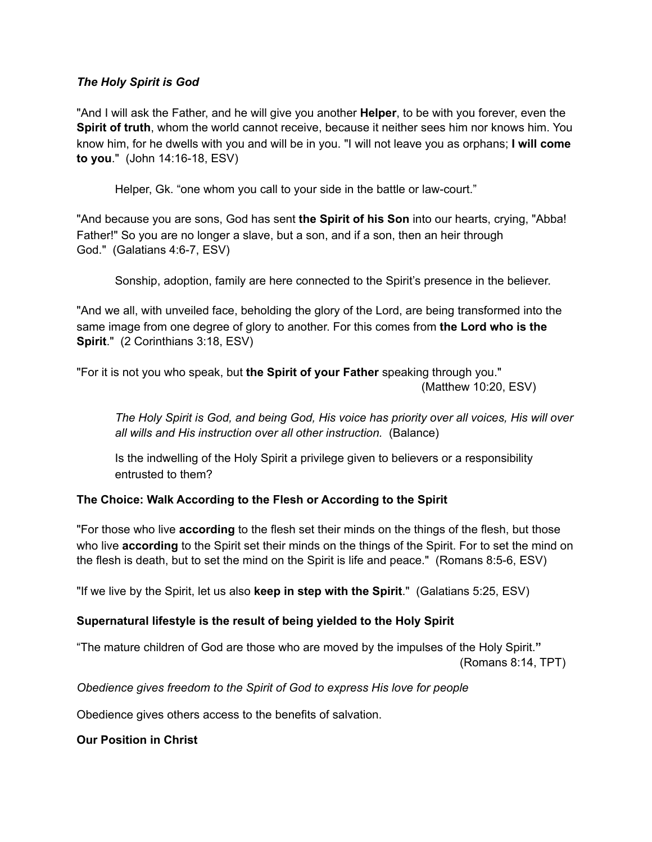### *The Holy Spirit is God*

"And I will ask the Father, and he will give you another **Helper**, to be with you forever, even the **Spirit of truth**, whom the world cannot receive, because it neither sees him nor knows him. You know him, for he dwells with you and will be in you. "I will not leave you as orphans; **I will come to you**." (John 14:16-18, ESV)

Helper, Gk. "one whom you call to your side in the battle or law-court."

"And because you are sons, God has sent **the Spirit of his Son** into our hearts, crying, "Abba! Father!" So you are no longer a slave, but a son, and if a son, then an heir through God." (Galatians 4:6-7, ESV)

Sonship, adoption, family are here connected to the Spirit's presence in the believer.

"And we all, with unveiled face, beholding the glory of the Lord, are being transformed into the same image from one degree of glory to another. For this comes from **the Lord who is the Spirit**." (2 Corinthians 3:18, ESV)

"For it is not you who speak, but **the Spirit of your Father** speaking through you." (Matthew 10:20, ESV)

*The Holy Spirit is God, and being God, His voice has priority over all voices, His will over all wills and His instruction over all other instruction.* (Balance)

Is the indwelling of the Holy Spirit a privilege given to believers or a responsibility entrusted to them?

# **The Choice: Walk According to the Flesh or According to the Spirit**

"For those who live **according** to the flesh set their minds on the things of the flesh, but those who live **according** to the Spirit set their minds on the things of the Spirit. For to set the mind on the flesh is death, but to set the mind on the Spirit is life and peace." (Romans 8:5-6, ESV)

"If we live by the Spirit, let us also **keep in step with the Spirit**." (Galatians 5:25, ESV)

# **Supernatural lifestyle is the result of being yielded to the Holy Spirit**

"The mature children of God are those who are moved by the impulses of the Holy Spirit.**"** (Romans 8:14, TPT)

*Obedience gives freedom to the Spirit of God to express His love for people* 

Obedience gives others access to the benefits of salvation.

**Our Position in Christ**